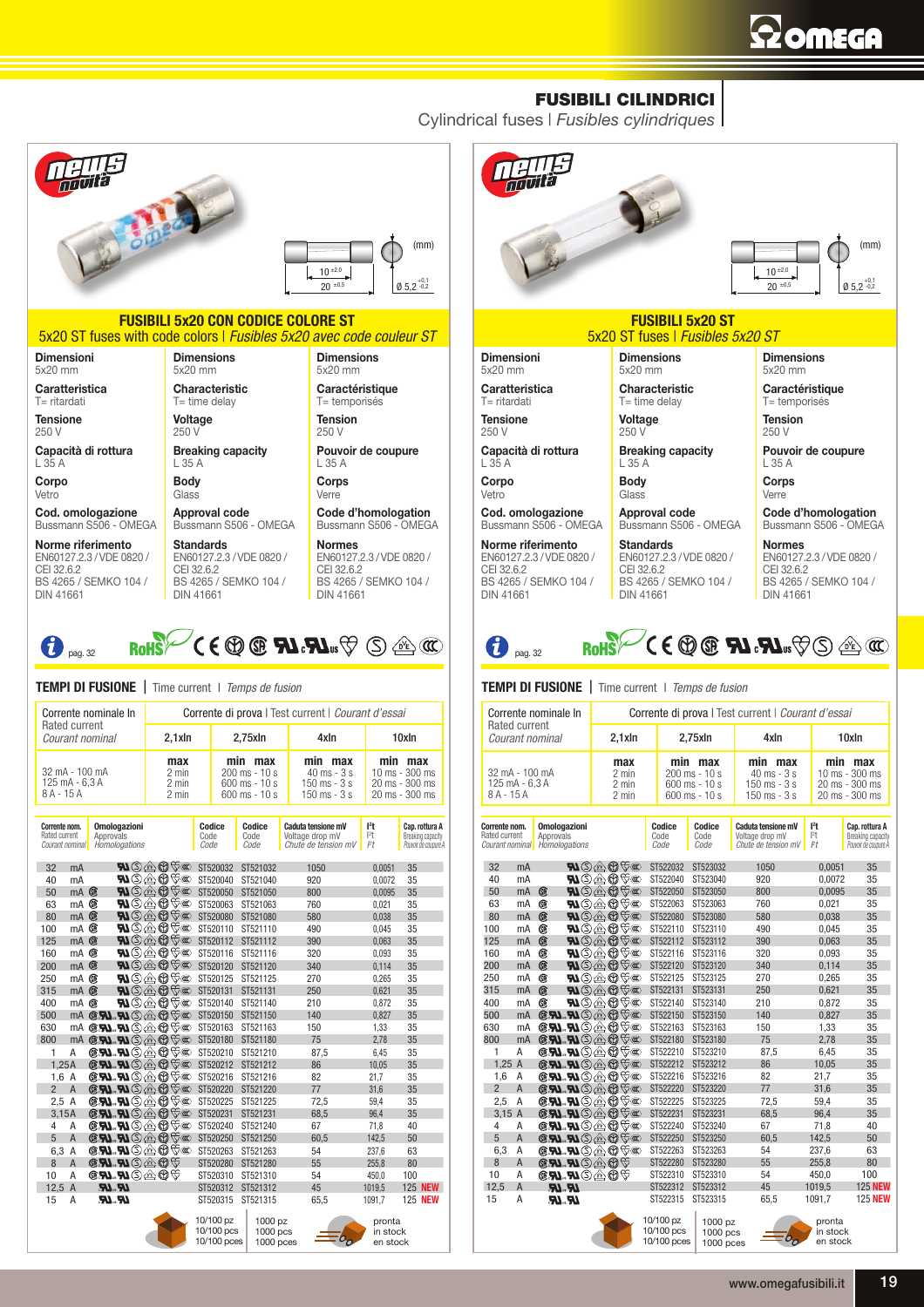## **Szomsga**

(mm)

## FUSIBILI CILINDRICI

Cylindrical fuses | *Fusibles cylindriques*



10/100 pz 10/100 pcs 10/100 pces 1000 pz 1000 pcs 1000 pces pronta in stock en stock

www.omegafusibili.it 19

pronta in stock en stock

10/100 pz 10/100 pcs 10/100 pces 1000 pz 1000 pcs 1000 pces